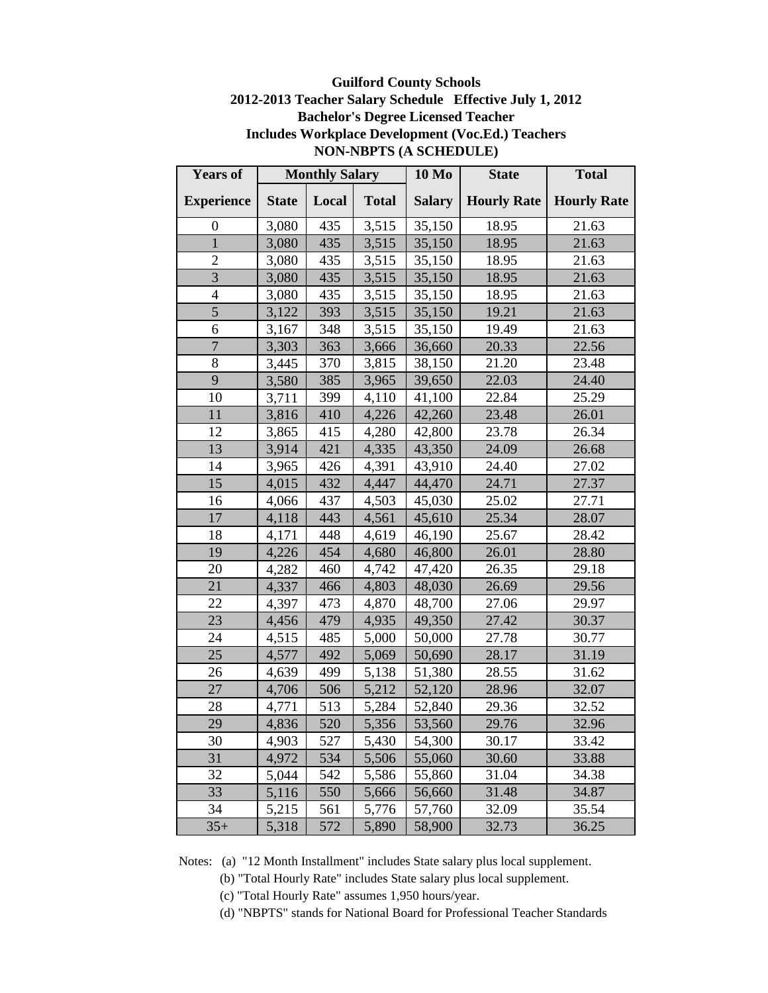### **Guilford County Schools 2012-2013 Teacher Salary Schedule Effective July 1, 2012 Bachelor's Degree Licensed Teacher Includes Workplace Development (Voc.Ed.) Teachers NON-NBPTS (A SCHEDULE)**

| <b>Years of</b>   |              | <b>Monthly Salary</b> |              | <b>10 Mo</b>  | <b>State</b>       | <b>Total</b>       |
|-------------------|--------------|-----------------------|--------------|---------------|--------------------|--------------------|
| <b>Experience</b> | <b>State</b> | Local                 | <b>Total</b> | <b>Salary</b> | <b>Hourly Rate</b> | <b>Hourly Rate</b> |
| $\boldsymbol{0}$  | 3,080        | 435                   | 3,515        | 35,150        | 18.95              | 21.63              |
| $\mathbf{1}$      | 3,080        | 435                   | 3,515        | 35,150        | 18.95              | 21.63              |
| $\overline{2}$    | 3,080        | 435                   | 3,515        | 35,150        | 18.95              | 21.63              |
| $\overline{3}$    | 3,080        | 435                   | 3,515        | 35,150        | 18.95              | 21.63              |
| $\overline{4}$    | 3,080        | 435                   | 3,515        | 35,150        | 18.95              | 21.63              |
| 5                 | 3,122        | 393                   | 3,515        | 35,150        | 19.21              | 21.63              |
| 6                 | 3,167        | 348                   | 3,515        | 35,150        | 19.49              | 21.63              |
| $\overline{7}$    | 3,303        | 363                   | 3,666        | 36,660        | 20.33              | 22.56              |
| 8                 | 3,445        | 370                   | 3,815        | 38,150        | 21.20              | 23.48              |
| 9                 | 3,580        | 385                   | 3,965        | 39,650        | 22.03              | 24.40              |
| 10                | 3,711        | 399                   | 4,110        | 41,100        | 22.84              | 25.29              |
| 11                | 3,816        | 410                   | 4,226        | 42,260        | 23.48              | 26.01              |
| 12                | 3,865        | 415                   | 4,280        | 42,800        | 23.78              | 26.34              |
| 13                | 3,914        | 421                   | 4,335        | 43,350        | 24.09              | 26.68              |
| 14                | 3,965        | 426                   | 4,391        | 43,910        | 24.40              | 27.02              |
| 15                | 4,015        | 432                   | 4,447        | 44,470        | 24.71              | 27.37              |
| 16                | 4,066        | 437                   | 4,503        | 45,030        | 25.02              | 27.71              |
| 17                | 4,118        | 443                   | 4,561        | 45,610        | 25.34              | 28.07              |
| 18                | 4,171        | 448                   | 4,619        | 46,190        | 25.67              | 28.42              |
| 19                | 4,226        | 454                   | 4,680        | 46,800        | 26.01              | 28.80              |
| 20                | 4,282        | 460                   | 4,742        | 47,420        | 26.35              | 29.18              |
| 21                | 4,337        | 466                   | 4,803        | 48,030        | 26.69              | 29.56              |
| 22                | 4,397        | 473                   | 4,870        | 48,700        | 27.06              | 29.97              |
| 23                | 4,456        | 479                   | 4,935        | 49,350        | 27.42              | 30.37              |
| 24                | 4,515        | 485                   | 5,000        | 50,000        | 27.78              | 30.77              |
| 25                | 4,577        | 492                   | 5,069        | 50,690        | 28.17              | 31.19              |
| 26                | 4,639        | 499                   | 5,138        | 51,380        | 28.55              | 31.62              |
| $27\,$            | 4,706        | 506                   | 5,212        | 52,120        | 28.96              | 32.07              |
| 28                | 4,771        | 513                   | 5,284        | 52,840        | 29.36              | 32.52              |
| 29                | 4,836        | 520                   | 5,356        | 53,560        | 29.76              | 32.96              |
| 30                | 4,903        | 527                   | 5,430        | 54,300        | 30.17              | 33.42              |
| 31                | 4,972        | 534                   | 5,506        | 55,060        | 30.60              | 33.88              |
| 32                | 5,044        | 542                   | 5,586        | 55,860        | 31.04              | 34.38              |
| 33                | 5,116        | 550                   | 5,666        | 56,660        | 31.48              | 34.87              |
| 34                | 5,215        | 561                   | 5,776        | 57,760        | 32.09              | 35.54              |
| $35+$             | 5,318        | 572                   | 5,890        | 58,900        | 32.73              | 36.25              |

Notes: (a) "12 Month Installment" includes State salary plus local supplement.

(b) "Total Hourly Rate" includes State salary plus local supplement.

(c) "Total Hourly Rate" assumes 1,950 hours/year.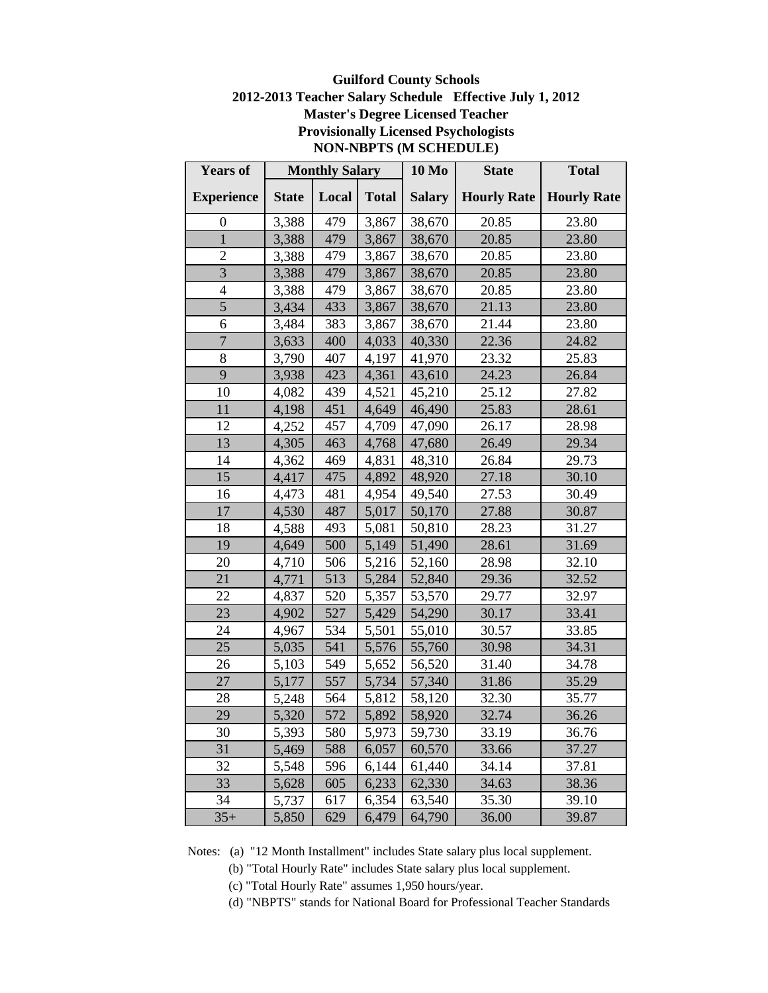## **Guilford County Schools 2012-2013 Teacher Salary Schedule Effective July 1, 2012 Master's Degree Licensed Teacher Provisionally Licensed Psychologists NON-NBPTS (M SCHEDULE)**

| <b>Years of</b>   |              | <b>Monthly Salary</b> |              | <b>10 Mo</b>        | <b>State</b>       | <b>Total</b>       |
|-------------------|--------------|-----------------------|--------------|---------------------|--------------------|--------------------|
| <b>Experience</b> | <b>State</b> | Local                 | <b>Total</b> | <b>Salary</b>       | <b>Hourly Rate</b> | <b>Hourly Rate</b> |
| $\overline{0}$    | 3,388        | 479                   | 3,867        | 38,670              | 20.85              | 23.80              |
| $\mathbf{1}$      | 3,388        | 479                   | 3,867        | 38,670              | 20.85              | 23.80              |
| $\overline{2}$    | 3,388        | 479                   | 3,867        | 38,670              | 20.85              | 23.80              |
| $\overline{3}$    | 3,388        | 479                   | 3,867        | 38,670              | 20.85              | 23.80              |
| 4                 | 3,388        | 479                   | 3,867        | 38,670              | 20.85              | 23.80              |
| 5                 | 3,434        | 433                   | 3,867        | 38,670              | 21.13              | 23.80              |
| 6                 | 3,484        | 383                   | 3,867        | 38,670              | 21.44              | 23.80              |
| $\overline{7}$    | 3,633        | 400                   | 4,033        | 40,330              | 22.36              | 24.82              |
| 8                 | 3,790        | 407                   | 4,197        | 41,970              | 23.32              | 25.83              |
| 9                 | 3,938        | 423                   | 4,361        | 43,610              | 24.23              | 26.84              |
| 10                | 4,082        | 439                   | 4,521        | 45,210              | 25.12              | 27.82              |
| 11                | 4,198        | 451                   | 4,649        | 46,490              | 25.83              | 28.61              |
| 12                | 4,252        | 457                   | 4,709        | 47,090              | 26.17              | 28.98              |
| 13                | 4,305        | 463                   | 4,768        | 47,680              | 26.49              | 29.34              |
| 14                | 4,362        | 469                   | 4,831        | 48,310              | 26.84              | 29.73              |
| 15                | 4,417        | 475                   | 4,892        | 48,920              | 27.18              | 30.10              |
| 16                | 4,473        | 481                   | 4,954        | 49,540              | 27.53              | 30.49              |
| 17                | 4,530        | 487                   | 5,017        | 50,170              | 27.88              | 30.87              |
| 18                | 4,588        | 493                   | 5,081        | 50,810              | 28.23              | 31.27              |
| 19                | 4,649        | 500                   | 5,149        | 51,490              | 28.61              | 31.69              |
| 20                | 4,710        | 506                   | 5,216        | 52,160              | 28.98              | 32.10              |
| 21                | 4,771        | 513                   | 5,284        | 52,840              | 29.36              | 32.52              |
| 22                | 4,837        | 520                   | 5,357        | 53,570              | 29.77              | 32.97              |
| 23                | 4,902        | 527                   | 5,429        | 54,290              | 30.17              | 33.41              |
| 24                | 4,967        | 534                   | 5,501        | 55,010              | 30.57              | 33.85              |
| 25                | 5,035        | 541                   | 5,576        | 55,760              | 30.98              | 34.31              |
| 26                | 5,103        | 549                   | 5,652        | 56,520              | 31.40              | 34.78              |
| 27                | 5,177        | 557                   | 5,734        | $\overline{57,340}$ | 31.86              | 35.29              |
| 28                | 5,248        | 564                   | 5,812        | 58,120              | 32.30              | 35.77              |
| 29                | 5,320        | 572                   | 5,892        | 58,920              | 32.74              | 36.26              |
| 30                | 5,393        | 580                   | 5,973        | 59,730              | 33.19              | 36.76              |
| 31                | 5,469        | 588                   | 6,057        | 60,570              | 33.66              | 37.27              |
| 32                | 5,548        | 596                   | 6,144        | 61,440              | 34.14              | 37.81              |
| 33                | 5,628        | 605                   | 6,233        | 62,330              | 34.63              | 38.36              |
| 34                | 5,737        | 617                   | 6,354        | 63,540              | 35.30              | 39.10              |
| $35+$             | 5,850        | 629                   | 6,479        | 64,790              | 36.00              | 39.87              |

- (b) "Total Hourly Rate" includes State salary plus local supplement.
- (c) "Total Hourly Rate" assumes 1,950 hours/year.
- (d) "NBPTS" stands for National Board for Professional Teacher Standards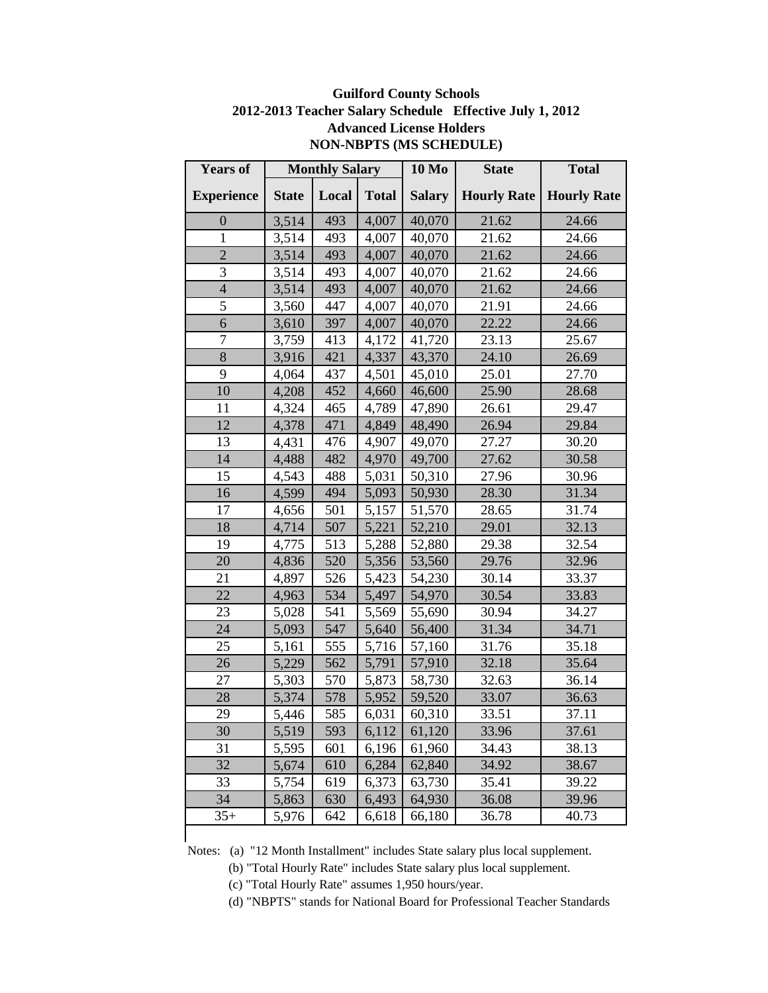## **Guilford County Schools 2012-2013 Teacher Salary Schedule Effective July 1, 2012 Advanced License Holders NON-NBPTS (MS SCHEDULE)**

| <b>Years of</b>   |              | <b>Monthly Salary</b> |              | <b>10 Mo</b>  | <b>State</b>       | <b>Total</b>       |
|-------------------|--------------|-----------------------|--------------|---------------|--------------------|--------------------|
| <b>Experience</b> | <b>State</b> | Local                 | <b>Total</b> | <b>Salary</b> | <b>Hourly Rate</b> | <b>Hourly Rate</b> |
| $\overline{0}$    | 3,514        | 493                   | 4,007        | 40,070        | 21.62              | 24.66              |
| $\mathbf{1}$      | 3,514        | 493                   | 4,007        | 40,070        | 21.62              | 24.66              |
| $\overline{2}$    | 3,514        | 493                   | 4,007        | 40,070        | 21.62              | 24.66              |
| 3                 | 3,514        | 493                   | 4,007        | 40,070        | 21.62              | 24.66              |
| $\overline{4}$    | 3,514        | 493                   | 4,007        | 40,070        | 21.62              | 24.66              |
| 5                 | 3,560        | 447                   | 4,007        | 40,070        | 21.91              | 24.66              |
| 6                 | 3,610        | 397                   | 4,007        | 40,070        | 22.22              | 24.66              |
| $\overline{7}$    | 3,759        | 413                   | 4,172        | 41,720        | 23.13              | 25.67              |
| 8                 | 3,916        | 421                   | 4,337        | 43,370        | 24.10              | 26.69              |
| 9                 | 4,064        | 437                   | 4,501        | 45,010        | 25.01              | 27.70              |
| 10                | 4,208        | 452                   | 4,660        | 46,600        | 25.90              | 28.68              |
| 11                | 4,324        | 465                   | 4,789        | 47,890        | 26.61              | 29.47              |
| 12                | 4,378        | 471                   | 4,849        | 48,490        | 26.94              | 29.84              |
| 13                | 4,431        | 476                   | 4,907        | 49,070        | 27.27              | 30.20              |
| 14                | 4,488        | 482                   | 4,970        | 49,700        | 27.62              | 30.58              |
| 15                | 4,543        | 488                   | 5,031        | 50,310        | 27.96              | 30.96              |
| 16                | 4,599        | 494                   | 5,093        | 50,930        | 28.30              | 31.34              |
| 17                | 4,656        | 501                   | 5,157        | 51,570        | 28.65              | 31.74              |
| 18                | 4,714        | 507                   | 5,221        | 52,210        | 29.01              | 32.13              |
| 19                | 4,775        | 513                   | 5,288        | 52,880        | 29.38              | 32.54              |
| 20                | 4,836        | 520                   | 5,356        | 53,560        | 29.76              | 32.96              |
| 21                | 4,897        | 526                   | 5,423        | 54,230        | 30.14              | 33.37              |
| 22                | 4,963        | 534                   | 5,497        | 54,970        | 30.54              | 33.83              |
| 23                | 5,028        | 541                   | 5,569        | 55,690        | 30.94              | 34.27              |
| 24                | 5,093        | 547                   | 5,640        | 56,400        | 31.34              | 34.71              |
| 25                | 5,161        | 555                   | 5,716        | 57,160        | 31.76              | 35.18              |
| 26                | 5,229        | 562                   | 5,791        | 57,910        | 32.18              | 35.64              |
| 27                | 5,303        | 570                   | 5,873        | 58,730        | 32.63              | 36.14              |
| 28                | 5,374        | 578                   | 5,952        | 59,520        | 33.07              | 36.63              |
| 29                | 5,446        | 585                   | 6,031        | 60,310        | 33.51              | 37.11              |
| 30                | 5,519        | 593                   | 6,112        | 61,120        | 33.96              | 37.61              |
| 31                | 5,595        | 601                   | 6,196        | 61,960        | 34.43              | 38.13              |
| 32                | 5,674        | 610                   | 6,284        | 62,840        | 34.92              | 38.67              |
| 33                | 5,754        | 619                   | 6,373        | 63,730        | 35.41              | 39.22              |
| 34                | 5,863        | 630                   | 6,493        | 64,930        | 36.08              | 39.96              |
| $35+$             | 5,976        | 642                   | 6,618        | 66,180        | 36.78              | 40.73              |
|                   |              |                       |              |               |                    |                    |

Notes: (a) "12 Month Installment" includes State salary plus local supplement.

(b) "Total Hourly Rate" includes State salary plus local supplement.

(c) "Total Hourly Rate" assumes 1,950 hours/year.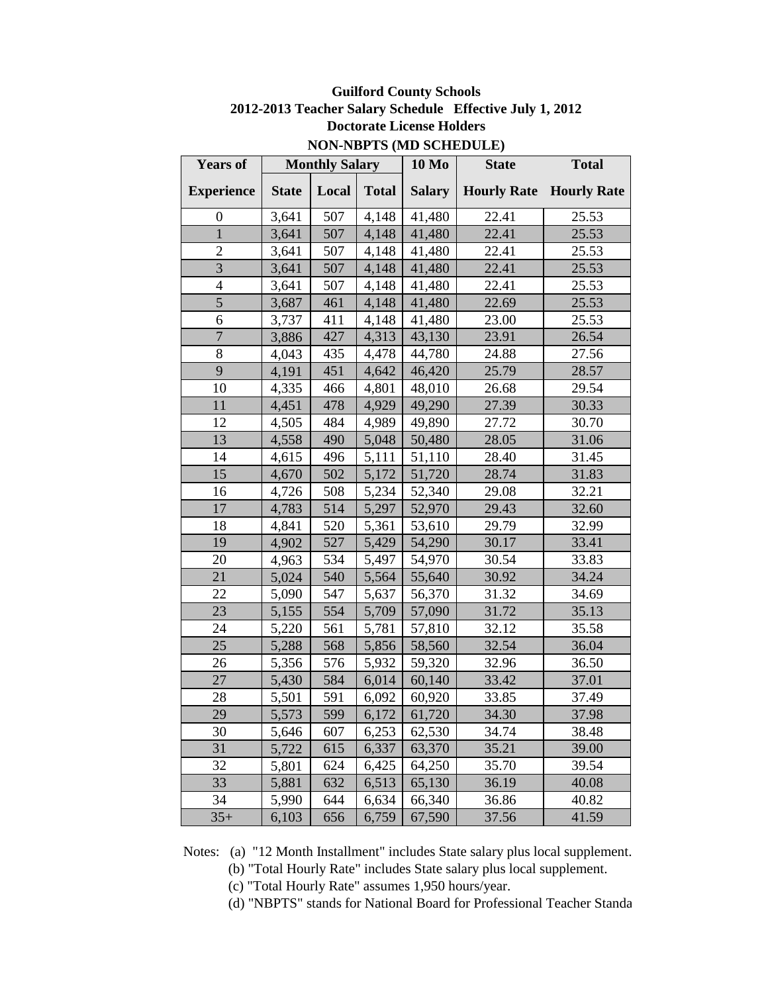| <b>Years of</b>   |              | <b>Monthly Salary</b> |              | <b>10 Mo</b> | <b>State</b>                   | <b>Total</b> |
|-------------------|--------------|-----------------------|--------------|--------------|--------------------------------|--------------|
| <b>Experience</b> | <b>State</b> | Local                 | <b>Total</b> | Salary       | <b>Hourly Rate Hourly Rate</b> |              |
| $\overline{0}$    | 3,641        | 507                   | 4,148        | 41,480       | 22.41                          | 25.53        |
| $\mathbf{1}$      | 3,641        | 507                   | 4,148        | 41,480       | 22.41                          | 25.53        |
| $\overline{2}$    | 3,641        | 507                   | 4,148        | 41,480       | 22.41                          | 25.53        |
| $\overline{3}$    | 3,641        | 507                   | 4,148        | 41,480       | 22.41                          | 25.53        |
| 4                 | 3,641        | 507                   | 4,148        | 41,480       | 22.41                          | 25.53        |
| 5                 | 3,687        | 461                   | 4,148        | 41,480       | 22.69                          | 25.53        |
| 6                 | 3,737        | 411                   | 4,148        | 41,480       | 23.00                          | 25.53        |
| $\overline{7}$    | 3,886        | 427                   | 4,313        | 43,130       | 23.91                          | 26.54        |
| 8                 | 4,043        | 435                   | 4,478        | 44,780       | 24.88                          | 27.56        |
| 9                 | 4,191        | 451                   | 4,642        | 46,420       | 25.79                          | 28.57        |
| 10                | 4,335        | 466                   | 4,801        | 48,010       | 26.68                          | 29.54        |
| 11                | 4,451        | 478                   | 4,929        | 49,290       | 27.39                          | 30.33        |
| 12                | 4,505        | 484                   | 4,989        | 49,890       | 27.72                          | 30.70        |
| 13                | 4,558        | 490                   | 5,048        | 50,480       | 28.05                          | 31.06        |
| 14                | 4,615        | 496                   | 5,111        | 51,110       | 28.40                          | 31.45        |
| 15                | 4,670        | 502                   | 5,172        | 51,720       | 28.74                          | 31.83        |
| 16                | 4,726        | 508                   | 5,234        | 52,340       | 29.08                          | 32.21        |
| 17                | 4,783        | 514                   | 5,297        | 52,970       | 29.43                          | 32.60        |
| 18                | 4,841        | 520                   | 5,361        | 53,610       | 29.79                          | 32.99        |
| 19                | 4,902        | 527                   | 5,429        | 54,290       | 30.17                          | 33.41        |
| 20                | 4,963        | 534                   | 5,497        | 54,970       | 30.54                          | 33.83        |
| 21                | 5,024        | 540                   | 5,564        | 55,640       | 30.92                          | 34.24        |
| 22                | 5,090        | 547                   | 5,637        | 56,370       | 31.32                          | 34.69        |
| 23                | 5,155        | 554                   | 5,709        | 57,090       | 31.72                          | 35.13        |
| 24                | 5,220        | 561                   | 5,781        | 57,810       | 32.12                          | 35.58        |
| 25                | 5,288        | 568                   | 5,856        | 58,560       | 32.54                          | 36.04        |
| 26                | 5,356        | 576                   | 5,932        | 59,320       | 32.96                          | 36.50        |
| 27                | 5,430        | 584                   | 6,014        | 60,140       | 33.42                          | 37.01        |
| 28                | 5,501        | 591                   | 6,092        | 60,920       | 33.85                          | 37.49        |
| 29                | 5,573        | 599                   | 6,172        | 61,720       | 34.30                          | 37.98        |
| 30                | 5,646        | 607                   | 6,253        | 62,530       | 34.74                          | 38.48        |
| 31                | 5,722        | 615                   | 6,337        | 63,370       | 35.21                          | 39.00        |
| 32                | 5,801        | 624                   | 6,425        | 64,250       | 35.70                          | 39.54        |
| 33                | 5,881        | 632                   | 6,513        | 65,130       | 36.19                          | 40.08        |
| 34                | 5,990        | 644                   | 6,634        | 66,340       | 36.86                          | 40.82        |
| $35+$             | 6,103        | 656                   | 6,759        | 67,590       | 37.56                          | 41.59        |

**Guilford County Schools 2012-2013 Teacher Salary Schedule Effective July 1, 2012 Doctorate License Holders NON-NBPTS (MD SCHEDULE)**

Notes: (a) "12 Month Installment" includes State salary plus local supplement.

(b) "Total Hourly Rate" includes State salary plus local supplement.

(c) "Total Hourly Rate" assumes 1,950 hours/year.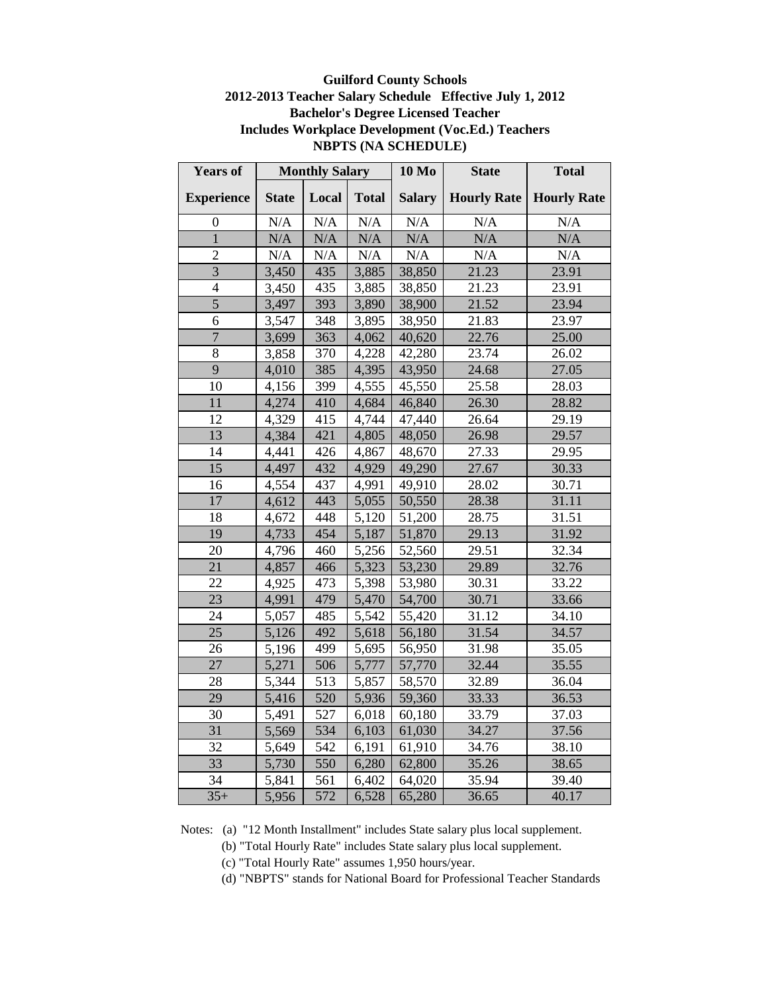### **Guilford County Schools 2012-2013 Teacher Salary Schedule Effective July 1, 2012 Bachelor's Degree Licensed Teacher Includes Workplace Development (Voc.Ed.) Teachers NBPTS (NA SCHEDULE)**

| <b>Years of</b>   |              | <b>Monthly Salary</b> |              | <b>10 Mo</b>  | <b>State</b>       | <b>Total</b>       |
|-------------------|--------------|-----------------------|--------------|---------------|--------------------|--------------------|
| <b>Experience</b> | <b>State</b> | Local                 | <b>Total</b> | <b>Salary</b> | <b>Hourly Rate</b> | <b>Hourly Rate</b> |
| $\theta$          | N/A          | N/A                   | N/A          | N/A           | $\rm N/A$          | N/A                |
| $\mathbf{1}$      | N/A          | N/A                   | N/A          | N/A           | N/A                | N/A                |
| $\mathfrak{2}$    | N/A          | N/A                   | N/A          | N/A           | N/A                | N/A                |
| 3                 | 3,450        | 435                   | 3,885        | 38,850        | 21.23              | 23.91              |
| $\overline{4}$    | 3,450        | 435                   | 3,885        | 38,850        | 21.23              | 23.91              |
| $\overline{5}$    | 3,497        | 393                   | 3,890        | 38,900        | 21.52              | 23.94              |
| 6                 | 3,547        | 348                   | 3,895        | 38,950        | 21.83              | 23.97              |
| $\overline{7}$    | 3,699        | 363                   | 4,062        | 40,620        | 22.76              | 25.00              |
| 8                 | 3,858        | 370                   | 4,228        | 42,280        | 23.74              | 26.02              |
| 9                 | 4,010        | 385                   | 4,395        | 43,950        | 24.68              | 27.05              |
| 10                | 4,156        | 399                   | 4,555        | 45,550        | 25.58              | 28.03              |
| 11                | 4,274        | 410                   | 4,684        | 46,840        | 26.30              | 28.82              |
| 12                | 4,329        | 415                   | 4,744        | 47,440        | 26.64              | 29.19              |
| 13                | 4,384        | 421                   | 4,805        | 48,050        | 26.98              | 29.57              |
| 14                | 4,441        | 426                   | 4,867        | 48,670        | 27.33              | 29.95              |
| 15                | 4,497        | 432                   | 4,929        | 49,290        | 27.67              | 30.33              |
| 16                | 4,554        | 437                   | 4,991        | 49,910        | 28.02              | 30.71              |
| 17                | 4,612        | 443                   | 5,055        | 50,550        | 28.38              | 31.11              |
| 18                | 4,672        | 448                   | 5,120        | 51,200        | 28.75              | 31.51              |
| 19                | 4,733        | 454                   | 5,187        | 51,870        | 29.13              | 31.92              |
| 20                | 4,796        | 460                   | 5,256        | 52,560        | 29.51              | 32.34              |
| 21                | 4,857        | 466                   | 5,323        | 53,230        | 29.89              | 32.76              |
| 22                | 4,925        | 473                   | 5,398        | 53,980        | 30.31              | 33.22              |
| 23                | 4,991        | 479                   | 5,470        | 54,700        | 30.71              | 33.66              |
| 24                | 5,057        | 485                   | 5,542        | 55,420        | 31.12              | 34.10              |
| 25                | 5,126        | 492                   | 5,618        | 56,180        | 31.54              | 34.57              |
| 26                | 5,196        | 499                   | 5,695        | 56,950        | 31.98              | 35.05              |
| 27                | 5,271        | 506                   | 5,777        | 57,770        | 32.44              | 35.55              |
| 28                | 5,344        | 513                   | 5,857        | 58,570        | 32.89              | 36.04              |
| 29                | 5,416        | 520                   | 5,936        | 59,360        | 33.33              | 36.53              |
| 30                | 5,491        | 527                   | 6,018        | 60,180        | 33.79              | 37.03              |
| 31                | 5,569        | 534                   | 6,103        | 61,030        | 34.27              | 37.56              |
| 32                | 5,649        | 542                   | 6,191        | 61,910        | 34.76              | 38.10              |
| 33                | 5,730        | 550                   | 6,280        | 62,800        | 35.26              | 38.65              |
| 34                | 5,841        | 561                   | 6,402        | 64,020        | 35.94              | 39.40              |
| $35+$             | 5,956        | 572                   | 6,528        | 65,280        | 36.65              | 40.17              |

- (b) "Total Hourly Rate" includes State salary plus local supplement.
- (c) "Total Hourly Rate" assumes 1,950 hours/year.
- (d) "NBPTS" stands for National Board for Professional Teacher Standards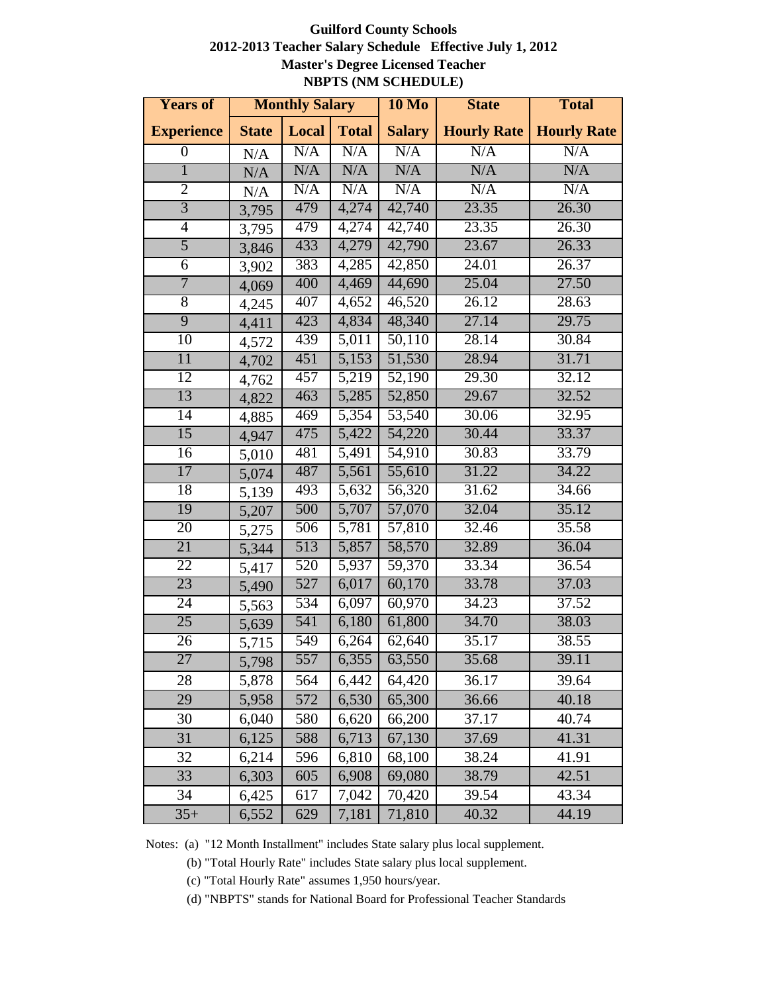#### **Guilford County Schools 2012-2013 Teacher Salary Schedule Effective July 1, 2012 Master's Degree Licensed Teacher NBPTS (NM SCHEDULE)**

| <b>Years of</b>   |              | <b>Monthly Salary</b> |                    | $10\ Mo$      | <b>State</b>       | <b>Total</b>       |
|-------------------|--------------|-----------------------|--------------------|---------------|--------------------|--------------------|
| <b>Experience</b> | <b>State</b> | Local                 | <b>Total</b>       | <b>Salary</b> | <b>Hourly Rate</b> | <b>Hourly Rate</b> |
| $\boldsymbol{0}$  | N/A          | N/A                   | N/A                | N/A           | N/A                | N/A                |
| $\overline{1}$    | N/A          | N/A                   | N/A                | N/A           | N/A                | N/A                |
| $\overline{2}$    | N/A          | N/A                   | N/A                | N/A           | N/A                | N/A                |
| $\overline{3}$    | 3,795        | 479                   | 4,274              | 42,740        | 23.35              | 26.30              |
| $\overline{4}$    | 3,795        | 479                   | 4,274              | 42,740        | 23.35              | 26.30              |
| $\overline{5}$    | 3,846        | 433                   | 4,279              | 42,790        | 23.67              | 26.33              |
| $\overline{6}$    | 3,902        | 383                   | 4,285              | 42,850        | 24.01              | 26.37              |
| $\overline{7}$    | 4,069        | 400                   | 4,469              | 44,690        | 25.04              | 27.50              |
| $\overline{8}$    | 4,245        | 407                   | 4,652              | 46,520        | 26.12              | 28.63              |
| $\overline{9}$    | 4,411        | 423                   | 4,834              | 48,340        | 27.14              | 29.75              |
| 10                | 4,572        | 439                   | 5,011              | 50,110        | 28.14              | 30.84              |
| 11                | 4,702        | 451                   | 5,153              | 51,530        | 28.94              | 31.71              |
| 12                | 4,762        | 457                   | 5,219              | 52,190        | 29.30              | 32.12              |
| 13                | 4,822        | 463                   | 5,285              | 52,850        | 29.67              | 32.52              |
| 14                | 4,885        | 469                   | 5,354              | 53,540        | 30.06              | 32.95              |
| $\overline{15}$   | 4,947        | 475                   | 5,422              | 54,220        | 30.44              | 33.37              |
| $\overline{16}$   | 5,010        | 481                   | $\overline{5,491}$ | 54,910        | 30.83              | 33.79              |
| $\overline{17}$   | 5,074        | 487                   | $\overline{5,561}$ | 55,610        | 31.22              | 34.22              |
| 18                | 5,139        | 493                   | 5,632              | 56,320        | 31.62              | 34.66              |
| 19                | 5,207        | 500                   | 5,707              | 57,070        | 32.04              | 35.12              |
| $\overline{20}$   | 5,275        | 506                   | 5,781              | 57,810        | 32.46              | 35.58              |
| 21                | 5,344        | 513                   | 5,857              | 58,570        | 32.89              | 36.04              |
| 22                | 5,417        | 520                   | 5,937              | 59,370        | 33.34              | 36.54              |
| 23                | 5,490        | 527                   | 6,017              | 60,170        | 33.78              | 37.03              |
| $\overline{24}$   | 5,563        | 534                   | 6,097              | 60,970        | 34.23              | 37.52              |
| $\overline{25}$   | 5,639        | 541                   | 6,180              | 61,800        | 34.70              | 38.03              |
| $\overline{26}$   | 5,715        | 549                   | 6,264              | 62,640        | 35.17              | 38.55              |
| $\overline{27}$   | 5,798        | 557                   | 6,355              | 63,550        | 35.68              | 39.11              |
| 28                | 5,878        | 564                   | 6,442              | 64,420        | 36.17              | 39.64              |
| 29                | 5,958        | 572                   | 6,530              | 65,300        | 36.66              | 40.18              |
| 30                | 6,040        | 580                   | 6,620              | 66,200        | 37.17              | 40.74              |
| 31                | 6,125        | 588                   | 6,713              | 67,130        | 37.69              | 41.31              |
| 32                | 6,214        | 596                   | 6,810              | 68,100        | 38.24              | 41.91              |
| 33                | 6,303        | 605                   | 6,908              | 69,080        | 38.79              | 42.51              |
| 34                | 6,425        | 617                   | 7,042              | 70,420        | 39.54              | 43.34              |
| $35+$             | 6,552        | 629                   | 7,181              | 71,810        | 40.32              | 44.19              |

Notes: (a) "12 Month Installment" includes State salary plus local supplement.

(b) "Total Hourly Rate" includes State salary plus local supplement.

(c) "Total Hourly Rate" assumes 1,950 hours/year.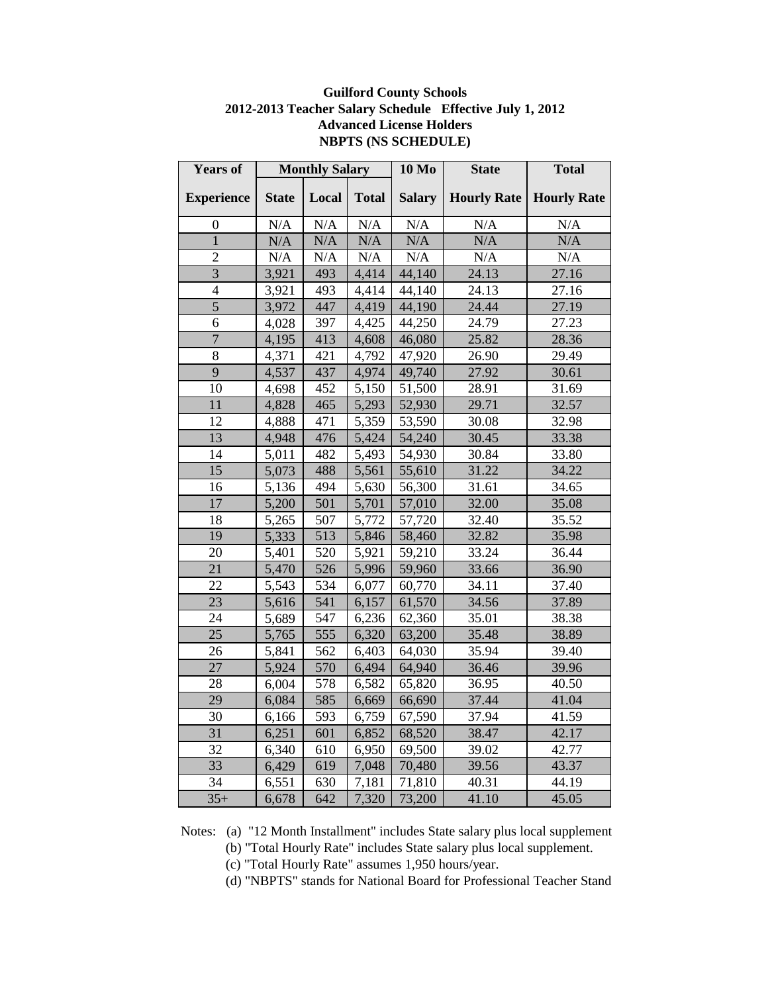| <b>Years of</b>   | <b>Monthly Salary</b> |       | <b>10 Mo</b> | <b>State</b>        | <b>Total</b> |                                  |
|-------------------|-----------------------|-------|--------------|---------------------|--------------|----------------------------------|
| <b>Experience</b> | <b>State</b>          | Local | <b>Total</b> | <b>Salary</b>       |              | <b>Hourly Rate   Hourly Rate</b> |
| $\overline{0}$    | N/A                   | N/A   | N/A          | N/A                 | N/A          | N/A                              |
| $\overline{1}$    | N/A                   | N/A   | N/A          | N/A                 | N/A          | N/A                              |
| $\overline{2}$    | N/A                   | N/A   | $\rm N/A$    | N/A                 | N/A          | N/A                              |
| $\overline{3}$    | 3,921                 | 493   | 4,414        | 44,140              | 24.13        | 27.16                            |
| $\overline{4}$    | 3,921                 | 493   | 4,414        | 44,140              | 24.13        | 27.16                            |
| 5                 | 3,972                 | 447   | 4,419        | 44,190              | 24.44        | 27.19                            |
| 6                 | 4,028                 | 397   | 4,425        | 44,250              | 24.79        | 27.23                            |
| $\overline{7}$    | 4,195                 | 413   | 4,608        | 46,080              | 25.82        | 28.36                            |
| 8                 | 4,371                 | 421   | 4,792        | 47,920              | 26.90        | 29.49                            |
| 9                 | 4,537                 | 437   | 4,974        | 49,740              | 27.92        | 30.61                            |
| 10                | 4,698                 | 452   | 5,150        | 51,500              | 28.91        | 31.69                            |
| 11                | 4,828                 | 465   | 5,293        | 52,930              | 29.71        | 32.57                            |
| 12                | 4,888                 | 471   | 5,359        | 53,590              | 30.08        | 32.98                            |
| 13                | 4,948                 | 476   | 5,424        | 54,240              | 30.45        | 33.38                            |
| 14                | 5,011                 | 482   | 5,493        | 54,930              | 30.84        | 33.80                            |
| 15                | 5,073                 | 488   | 5,561        | 55,610              | 31.22        | 34.22                            |
| 16                | 5,136                 | 494   | 5,630        | 56,300              | 31.61        | 34.65                            |
| 17                | 5,200                 | 501   | 5,701        | 57,010              | 32.00        | 35.08                            |
| 18                | 5,265                 | 507   | 5,772        | 57,720              | 32.40        | 35.52                            |
| 19                | 5,333                 | 513   | 5,846        | 58,460              | 32.82        | 35.98                            |
| 20                | 5,401                 | 520   | 5,921        | 59,210              | 33.24        | 36.44                            |
| 21                | 5,470                 | 526   | 5,996        | 59,960              | 33.66        | 36.90                            |
| 22                | 5,543                 | 534   | 6,077        | 60,770              | 34.11        | 37.40                            |
| 23                | 5,616                 | 541   | 6,157        | 61,570              | 34.56        | 37.89                            |
| 24                | 5,689                 | 547   | 6,236        | 62,360              | 35.01        | 38.38                            |
| 25                | 5,765                 | 555   | 6,320        | 63,200              | 35.48        | 38.89                            |
| 26                | 5,841                 | 562   | 6,403        | 64,030              | 35.94        | 39.40                            |
| 27                | 5,924                 | 570   | 6,494        | $\overline{64,940}$ | 36.46        | 39.96                            |
| 28                | 6,004                 | 578   | 6,582        | 65,820              | 36.95        | 40.50                            |
| 29                | 6,084                 | 585   | 6,669        | 66,690              | 37.44        | 41.04                            |
| 30                | 6,166                 | 593   | 6,759        | 67,590              | 37.94        | 41.59                            |
| 31                | 6,251                 | 601   | 6,852        | 68,520              | 38.47        | 42.17                            |
| 32                | 6,340                 | 610   | 6,950        | 69,500              | 39.02        | 42.77                            |
| 33                | 6,429                 | 619   | 7,048        | 70,480              | 39.56        | 43.37                            |
| 34                | 6,551                 | 630   | 7,181        | 71,810              | 40.31        | 44.19                            |
| $35+$             | 6,678                 | 642   | 7,320        | 73,200              | 41.10        | 45.05                            |

### **Guilford County Schools 2012-2013 Teacher Salary Schedule Effective July 1, 2012 Advanced License Holders NBPTS (NS SCHEDULE)**

- (b) "Total Hourly Rate" includes State salary plus local supplement.
- (c) "Total Hourly Rate" assumes 1,950 hours/year.
- (d) "NBPTS" stands for National Board for Professional Teacher Stand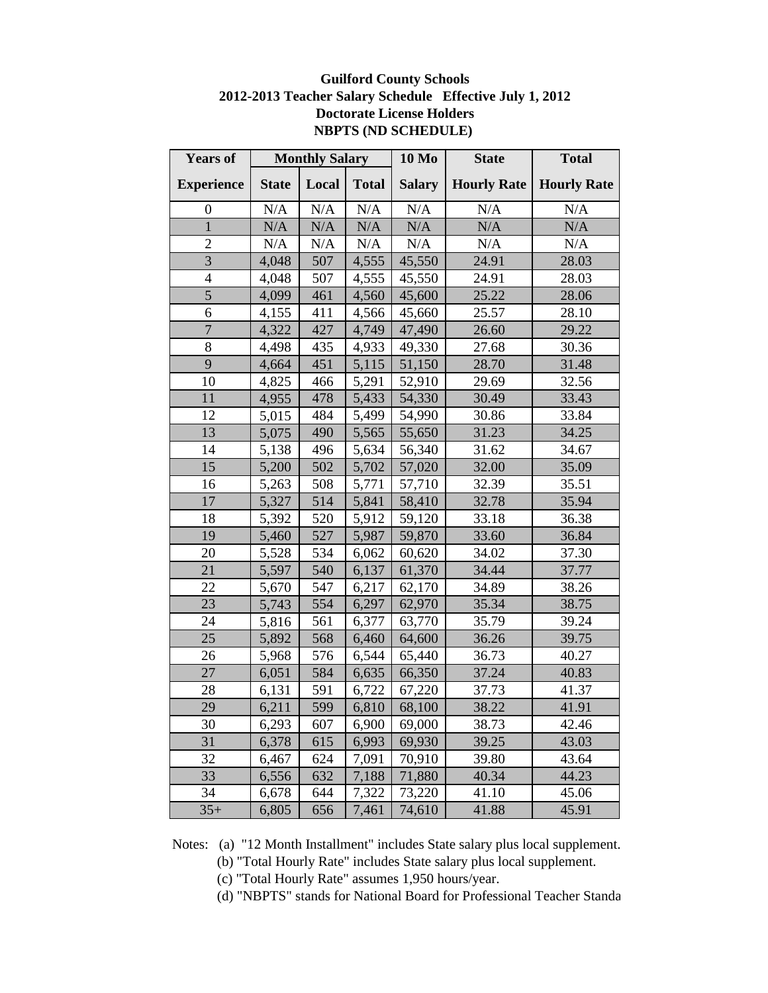### **Guilford County Schools 2012-2013 Teacher Salary Schedule Effective July 1, 2012 Doctorate License Holders NBPTS (ND SCHEDULE)**

| <b>Years of</b>   |              | <b>Monthly Salary</b> |              | <b>10 Mo</b>  | <b>State</b>       | <b>Total</b>       |
|-------------------|--------------|-----------------------|--------------|---------------|--------------------|--------------------|
| <b>Experience</b> | <b>State</b> | Local                 | <b>Total</b> | <b>Salary</b> | <b>Hourly Rate</b> | <b>Hourly Rate</b> |
| $\boldsymbol{0}$  | N/A          | N/A                   | $\rm N/A$    | N/A           | N/A                | N/A                |
| $\mathbf{1}$      | N/A          | N/A                   | N/A          | N/A           | N/A                | N/A                |
| $\overline{2}$    | $\rm N/A$    | $\rm N/A$             | N/A          | $\rm N/A$     | N/A                | N/A                |
| $\overline{3}$    | 4,048        | 507                   | 4,555        | 45,550        | 24.91              | 28.03              |
| $\overline{4}$    | 4,048        | 507                   | 4,555        | 45,550        | 24.91              | 28.03              |
| 5                 | 4,099        | 461                   | 4,560        | 45,600        | 25.22              | 28.06              |
| 6                 | 4,155        | 411                   | 4,566        | 45,660        | 25.57              | 28.10              |
| $\overline{7}$    | 4,322        | 427                   | 4,749        | 47,490        | 26.60              | 29.22              |
| 8                 | 4,498        | 435                   | 4,933        | 49,330        | 27.68              | 30.36              |
| $\overline{9}$    | 4,664        | 451                   | 5,115        | 51,150        | 28.70              | 31.48              |
| 10                | 4,825        | 466                   | 5,291        | 52,910        | 29.69              | 32.56              |
| 11                | 4,955        | 478                   | 5,433        | 54,330        | 30.49              | 33.43              |
| 12                | 5,015        | 484                   | 5,499        | 54,990        | 30.86              | 33.84              |
| 13                | 5,075        | 490                   | 5,565        | 55,650        | 31.23              | 34.25              |
| 14                | 5,138        | 496                   | 5,634        | 56,340        | 31.62              | 34.67              |
| 15                | 5,200        | 502                   | 5,702        | 57,020        | 32.00              | 35.09              |
| 16                | 5,263        | 508                   | 5,771        | 57,710        | 32.39              | 35.51              |
| 17                | 5,327        | 514                   | 5,841        | 58,410        | 32.78              | 35.94              |
| 18                | 5,392        | 520                   | 5,912        | 59,120        | 33.18              | 36.38              |
| 19                | 5,460        | 527                   | 5,987        | 59,870        | 33.60              | 36.84              |
| 20                | 5,528        | 534                   | 6,062        | 60,620        | 34.02              | 37.30              |
| 21                | 5,597        | 540                   | 6,137        | 61,370        | 34.44              | 37.77              |
| 22                | 5,670        | 547                   | 6,217        | 62,170        | 34.89              | 38.26              |
| 23                | 5,743        | 554                   | 6,297        | 62,970        | 35.34              | 38.75              |
| 24                | 5,816        | 561                   | 6,377        | 63,770        | 35.79              | 39.24              |
| 25                | 5,892        | 568                   | 6,460        | 64,600        | 36.26              | 39.75              |
| 26                | 5,968        | 576                   | 6,544        | 65,440        | 36.73              | 40.27              |
| 27                | 6,051        | 584                   | 6,635        | 66,350        | 37.24              | 40.83              |
| 28                | 6,131        | 591                   | 6,722        | 67,220        | 37.73              | 41.37              |
| 29                | 6,211        | 599                   | 6,810        | 68,100        | 38.22              | 41.91              |
| 30                | 6,293        | 607                   | 6,900        | 69,000        | 38.73              | 42.46              |
| 31                | 6,378        | 615                   | 6,993        | 69,930        | 39.25              | 43.03              |
| 32                | 6,467        | 624                   | 7,091        | 70,910        | 39.80              | 43.64              |
| 33                | 6,556        | 632                   | 7,188        | 71,880        | 40.34              | 44.23              |
| 34                | 6,678        | 644                   | 7,322        | 73,220        | 41.10              | 45.06              |
| $35+$             | 6,805        | 656                   | 7,461        | 74,610        | 41.88              | 45.91              |

Notes: (a) "12 Month Installment" includes State salary plus local supplement.

(b) "Total Hourly Rate" includes State salary plus local supplement.

(c) "Total Hourly Rate" assumes 1,950 hours/year.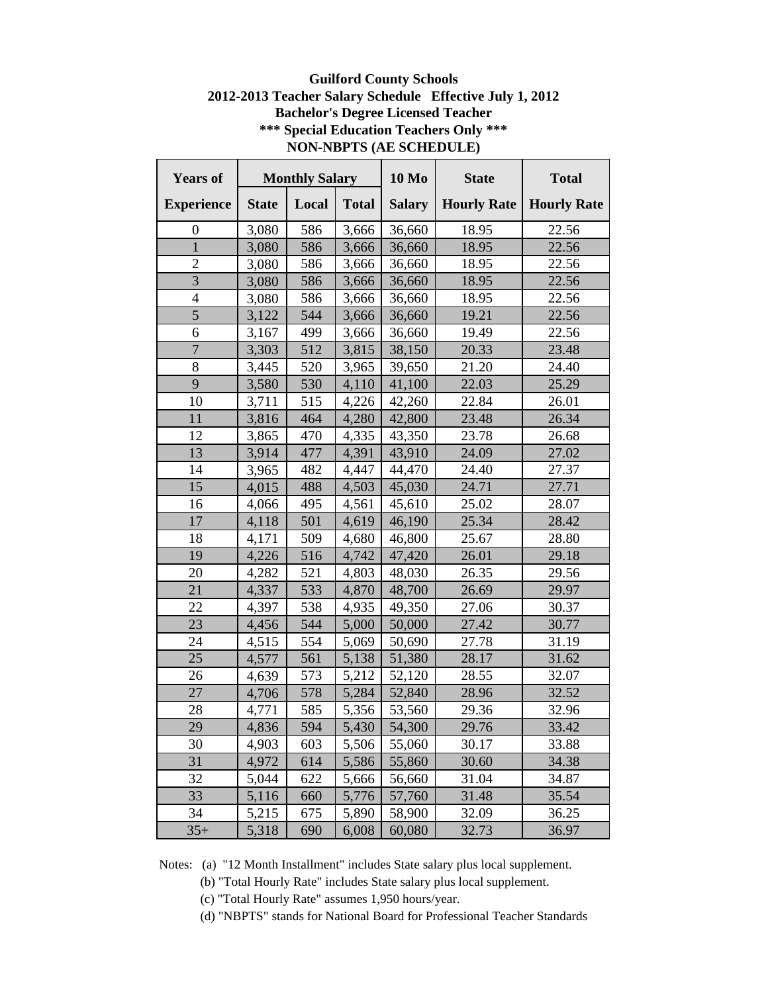### **Guilford County Schools 2012-2013 Teacher Salary Schedule Effective July 1, 2012 Bachelor's Degree Licensed Teacher \*\*\* Special Education Teachers Only \*\*\* NON-NBPTS (AE SCHEDULE)**

| <b>Years of</b>   | <b>Monthly Salary</b> |       | <b>10 Mo</b> | <b>State</b>  | <b>Total</b>       |                    |
|-------------------|-----------------------|-------|--------------|---------------|--------------------|--------------------|
| <b>Experience</b> | <b>State</b>          | Local | <b>Total</b> | <b>Salary</b> | <b>Hourly Rate</b> | <b>Hourly Rate</b> |
| 0                 | 3,080                 | 586   | 3,666        | 36,660        | 18.95              | 22.56              |
| $\overline{1}$    | 3,080                 | 586   | 3,666        | 36,660        | 18.95              | 22.56              |
| $\overline{2}$    | 3,080                 | 586   | 3,666        | 36,660        | 18.95              | 22.56              |
| $\overline{3}$    | 3,080                 | 586   | 3,666        | 36,660        | 18.95              | 22.56              |
| $\overline{4}$    | 3,080                 | 586   | 3,666        | 36,660        | 18.95              | 22.56              |
| 5                 | 3,122                 | 544   | 3,666        | 36,660        | 19.21              | 22.56              |
| 6                 | 3,167                 | 499   | 3,666        | 36,660        | 19.49              | 22.56              |
| $\overline{7}$    | 3,303                 | 512   | 3,815        | 38,150        | 20.33              | 23.48              |
| 8                 | 3,445                 | 520   | 3,965        | 39,650        | 21.20              | 24.40              |
| 9                 | 3,580                 | 530   | 4,110        | 41,100        | 22.03              | 25.29              |
| 10                | 3,711                 | 515   | 4,226        | 42,260        | 22.84              | 26.01              |
| 11                | 3,816                 | 464   | 4,280        | 42,800        | 23.48              | 26.34              |
| 12                | 3,865                 | 470   | 4,335        | 43,350        | 23.78              | 26.68              |
| 13                | 3,914                 | 477   | 4,391        | 43,910        | 24.09              | 27.02              |
| 14                | 3,965                 | 482   | 4,447        | 44,470        | 24.40              | 27.37              |
| 15                | 4,015                 | 488   | 4,503        | 45,030        | 24.71              | 27.71              |
| 16                | 4,066                 | 495   | 4,561        | 45,610        | 25.02              | 28.07              |
| 17                | 4,118                 | 501   | 4,619        | 46,190        | 25.34              | 28.42              |
| 18                | 4,171                 | 509   | 4,680        | 46,800        | 25.67              | 28.80              |
| 19                | 4,226                 | 516   | 4,742        | 47,420        | 26.01              | 29.18              |
| 20                | 4,282                 | 521   | 4,803        | 48,030        | 26.35              | 29.56              |
| 21                | 4,337                 | 533   | 4,870        | 48,700        | 26.69              | 29.97              |
| 22                | 4,397                 | 538   | 4,935        | 49,350        | 27.06              | 30.37              |
| 23                | 4,456                 | 544   | 5,000        | 50,000        | 27.42              | 30.77              |
| 24                | 4,515                 | 554   | 5,069        | 50,690        | 27.78              | 31.19              |
| 25                | 4,577                 | 561   | 5,138        | 51,380        | 28.17              | 31.62              |
| 26                | 4,639                 | 573   | 5,212        | 52,120        | 28.55              | 32.07              |
| 27                | 4,706                 | 578   | 5,284        | 52,840        | 28.96              | 32.52              |
| 28                | 4,771                 | 585   | 5,356        | 53,560        | 29.36              | 32.96              |
| 29                | 4,836                 | 594   | 5,430        | 54,300        | 29.76              | 33.42              |
| 30                | 4,903                 | 603   | 5,506        | 55,060        | 30.17              | 33.88              |
| 31                | 4,972                 | 614   | 5,586        | 55,860        | 30.60              | 34.38              |
| 32                | 5,044                 | 622   | 5,666        | 56,660        | 31.04              | 34.87              |
| 33                | 5,116                 | 660   | 5,776        | 57,760        | 31.48              | 35.54              |
| 34                | 5,215                 | 675   | 5,890        | 58,900        | 32.09              | 36.25              |
| $35+$             | 5,318                 | 690   | 6,008        | 60,080        | 32.73              | 36.97              |

Notes: (a) "12 Month Installment" includes State salary plus local supplement.

(b) "Total Hourly Rate" includes State salary plus local supplement.

(c) "Total Hourly Rate" assumes 1,950 hours/year.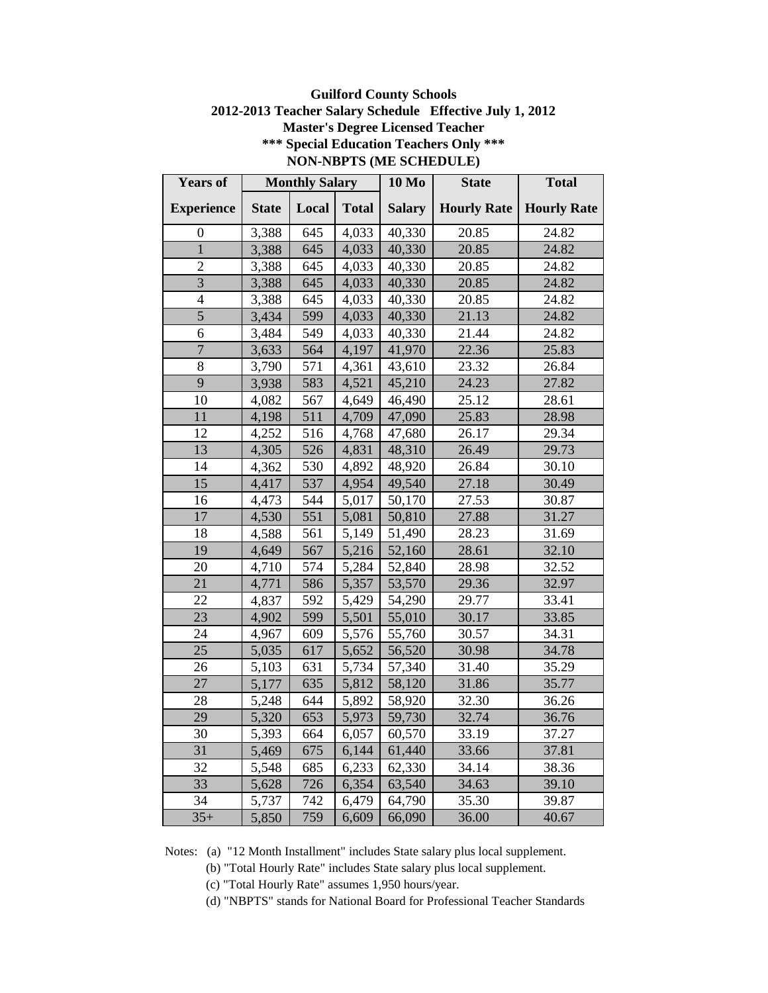### **Guilford County Schools 2012-2013 Teacher Salary Schedule Effective July 1, 2012 Master's Degree Licensed Teacher \*\*\* Special Education Teachers Only \*\*\* NON-NBPTS (ME SCHEDULE)**

| <b>Years of</b>   |              | <b>Monthly Salary</b> |              | <b>10 Mo</b>  | <b>State</b>       | <b>Total</b>       |
|-------------------|--------------|-----------------------|--------------|---------------|--------------------|--------------------|
| <b>Experience</b> | <b>State</b> | Local                 | <b>Total</b> | <b>Salary</b> | <b>Hourly Rate</b> | <b>Hourly Rate</b> |
| $\boldsymbol{0}$  | 3,388        | 645                   | 4,033        | 40,330        | 20.85              | 24.82              |
| $\overline{1}$    | 3,388        | 645                   | 4,033        | 40,330        | 20.85              | 24.82              |
| $\overline{c}$    | 3,388        | 645                   | 4,033        | 40,330        | 20.85              | 24.82              |
| $\overline{3}$    | 3,388        | 645                   | 4,033        | 40,330        | 20.85              | 24.82              |
| $\overline{4}$    | 3,388        | 645                   | 4,033        | 40,330        | 20.85              | 24.82              |
| $\overline{5}$    | 3,434        | 599                   | 4,033        | 40,330        | 21.13              | 24.82              |
| 6                 | 3,484        | 549                   | 4,033        | 40,330        | 21.44              | 24.82              |
| $\overline{7}$    | 3,633        | 564                   | 4,197        | 41,970        | 22.36              | 25.83              |
| 8                 | 3,790        | 571                   | 4,361        | 43,610        | 23.32              | 26.84              |
| 9                 | 3,938        | 583                   | 4,521        | 45,210        | 24.23              | 27.82              |
| 10                | 4,082        | 567                   | 4,649        | 46,490        | 25.12              | 28.61              |
| 11                | 4,198        | 511                   | 4,709        | 47,090        | 25.83              | 28.98              |
| 12                | 4,252        | 516                   | 4,768        | 47,680        | 26.17              | 29.34              |
| 13                | 4,305        | 526                   | 4,831        | 48,310        | 26.49              | 29.73              |
| 14                | 4,362        | 530                   | 4,892        | 48,920        | 26.84              | 30.10              |
| 15                | 4,417        | 537                   | 4,954        | 49,540        | 27.18              | 30.49              |
| 16                | 4,473        | 544                   | 5,017        | 50,170        | 27.53              | 30.87              |
| 17                | 4,530        | 551                   | 5,081        | 50,810        | 27.88              | 31.27              |
| 18                | 4,588        | 561                   | 5,149        | 51,490        | 28.23              | 31.69              |
| 19                | 4,649        | 567                   | 5,216        | 52,160        | 28.61              | 32.10              |
| 20                | 4,710        | 574                   | 5,284        | 52,840        | 28.98              | 32.52              |
| 21                | 4,771        | 586                   | 5,357        | 53,570        | 29.36              | 32.97              |
| 22                | 4,837        | 592                   | 5,429        | 54,290        | 29.77              | 33.41              |
| 23                | 4,902        | 599                   | 5,501        | 55,010        | 30.17              | 33.85              |
| 24                | 4,967        | 609                   | 5,576        | 55,760        | 30.57              | 34.31              |
| 25                | 5,035        | 617                   | 5,652        | 56,520        | 30.98              | 34.78              |
| 26                | 5,103        | 631                   | 5,734        | 57,340        | 31.40              | 35.29              |
| 27                | 5,177        | 635                   | 5,812        | 58,120        | 31.86              | 35.77              |
| 28                | 5,248        | 644                   | 5,892        | 58,920        | 32.30              | 36.26              |
| 29                | 5,320        | 653                   | 5,973        | 59,730        | 32.74              | 36.76              |
| 30                | 5,393        | 664                   | 6,057        | 60,570        | 33.19              | 37.27              |
| 31                | 5,469        | 675                   | 6,144        | 61,440        | 33.66              | 37.81              |
| 32                | 5,548        | 685                   | 6,233        | 62,330        | 34.14              | 38.36              |
| 33                | 5,628        | 726                   | 6,354        | 63,540        | 34.63              | 39.10              |
| 34                | 5,737        | 742                   | 6,479        | 64,790        | 35.30              | 39.87              |
| $35+$             | 5,850        | 759                   | 6,609        | 66,090        | 36.00              | 40.67              |

Notes: (a) "12 Month Installment" includes State salary plus local supplement.

(b) "Total Hourly Rate" includes State salary plus local supplement.

(c) "Total Hourly Rate" assumes 1,950 hours/year.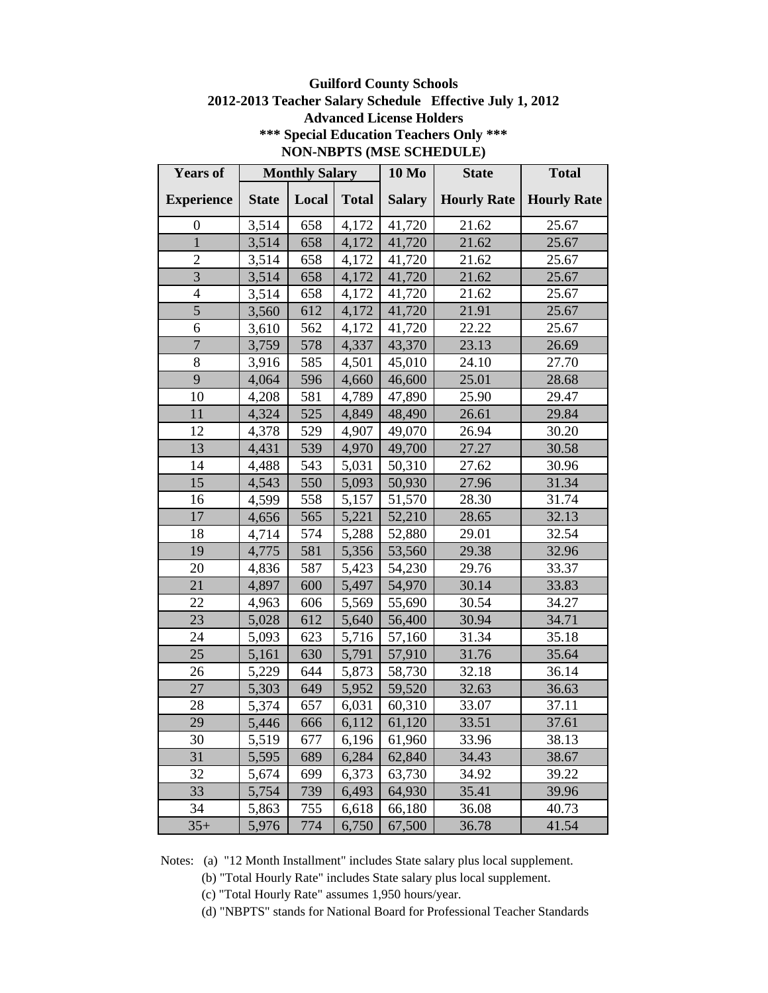### **Guilford County Schools 2012-2013 Teacher Salary Schedule Effective July 1, 2012 Advanced License Holders \*\*\* Special Education Teachers Only \*\*\* NON-NBPTS (MSE SCHEDULE)**

| <b>Years of</b>   |              | <b>Monthly Salary</b> |              | <b>10 Mo</b>  | <b>State</b>       | <b>Total</b>       |
|-------------------|--------------|-----------------------|--------------|---------------|--------------------|--------------------|
| <b>Experience</b> | <b>State</b> | Local                 | <b>Total</b> | <b>Salary</b> | <b>Hourly Rate</b> | <b>Hourly Rate</b> |
| $\overline{0}$    | 3,514        | 658                   | 4,172        | 41,720        | 21.62              | 25.67              |
| $\mathbf{1}$      | 3,514        | 658                   | 4,172        | 41,720        | 21.62              | 25.67              |
| $\overline{2}$    | 3,514        | 658                   | 4,172        | 41,720        | 21.62              | 25.67              |
| 3                 | 3,514        | 658                   | 4,172        | 41,720        | 21.62              | 25.67              |
| $\overline{4}$    | 3,514        | 658                   | 4,172        | 41,720        | 21.62              | 25.67              |
| 5                 | 3,560        | 612                   | 4,172        | 41,720        | 21.91              | 25.67              |
| 6                 | 3,610        | 562                   | 4,172        | 41,720        | 22.22              | 25.67              |
| $\overline{7}$    | 3,759        | 578                   | 4,337        | 43,370        | 23.13              | 26.69              |
| 8                 | 3,916        | 585                   | 4,501        | 45,010        | 24.10              | 27.70              |
| 9                 | 4,064        | 596                   | 4,660        | 46,600        | 25.01              | 28.68              |
| 10                | 4,208        | 581                   | 4,789        | 47,890        | 25.90              | 29.47              |
| 11                | 4,324        | 525                   | 4,849        | 48,490        | 26.61              | 29.84              |
| 12                | 4,378        | 529                   | 4,907        | 49,070        | 26.94              | 30.20              |
| 13                | 4,431        | 539                   | 4,970        | 49,700        | 27.27              | 30.58              |
| 14                | 4,488        | 543                   | 5,031        | 50,310        | 27.62              | 30.96              |
| 15                | 4,543        | 550                   | 5,093        | 50,930        | 27.96              | 31.34              |
| 16                | 4,599        | 558                   | 5,157        | 51,570        | 28.30              | 31.74              |
| 17                | 4,656        | 565                   | 5,221        | 52,210        | 28.65              | 32.13              |
| 18                | 4,714        | 574                   | 5,288        | 52,880        | 29.01              | 32.54              |
| 19                | 4,775        | 581                   | 5,356        | 53,560        | 29.38              | 32.96              |
| 20                | 4,836        | 587                   | 5,423        | 54,230        | 29.76              | 33.37              |
| 21                | 4,897        | 600                   | 5,497        | 54,970        | 30.14              | 33.83              |
| 22                | 4,963        | 606                   | 5,569        | 55,690        | 30.54              | 34.27              |
| 23                | 5,028        | 612                   | 5,640        | 56,400        | 30.94              | 34.71              |
| 24                | 5,093        | 623                   | 5,716        | 57,160        | 31.34              | 35.18              |
| 25                | 5,161        | 630                   | 5,791        | 57,910        | 31.76              | 35.64              |
| 26                | 5,229        | 644                   | 5,873        | 58,730        | 32.18              | 36.14              |
| 27                | 5,303        | 649                   | 5,952        | 59,520        | 32.63              | 36.63              |
| 28                | 5,374        | 657                   | 6,031        | 60,310        | 33.07              | 37.11              |
| 29                | 5,446        | 666                   | 6,112        | 61,120        | 33.51              | 37.61              |
| 30                | 5,519        | 677                   | 6,196        | 61,960        | 33.96              | 38.13              |
| 31                | 5,595        | 689                   | 6,284        | 62,840        | 34.43              | 38.67              |
| 32                | 5,674        | 699                   | 6,373        | 63,730        | 34.92              | 39.22              |
| 33                | 5,754        | 739                   | 6,493        | 64,930        | 35.41              | 39.96              |
| 34                | 5,863        | 755                   | 6,618        | 66,180        | 36.08              | 40.73              |
| $35+$             | 5,976        | 774                   | 6,750        | 67,500        | 36.78              | 41.54              |

Notes: (a) "12 Month Installment" includes State salary plus local supplement.

(b) "Total Hourly Rate" includes State salary plus local supplement.

(c) "Total Hourly Rate" assumes 1,950 hours/year.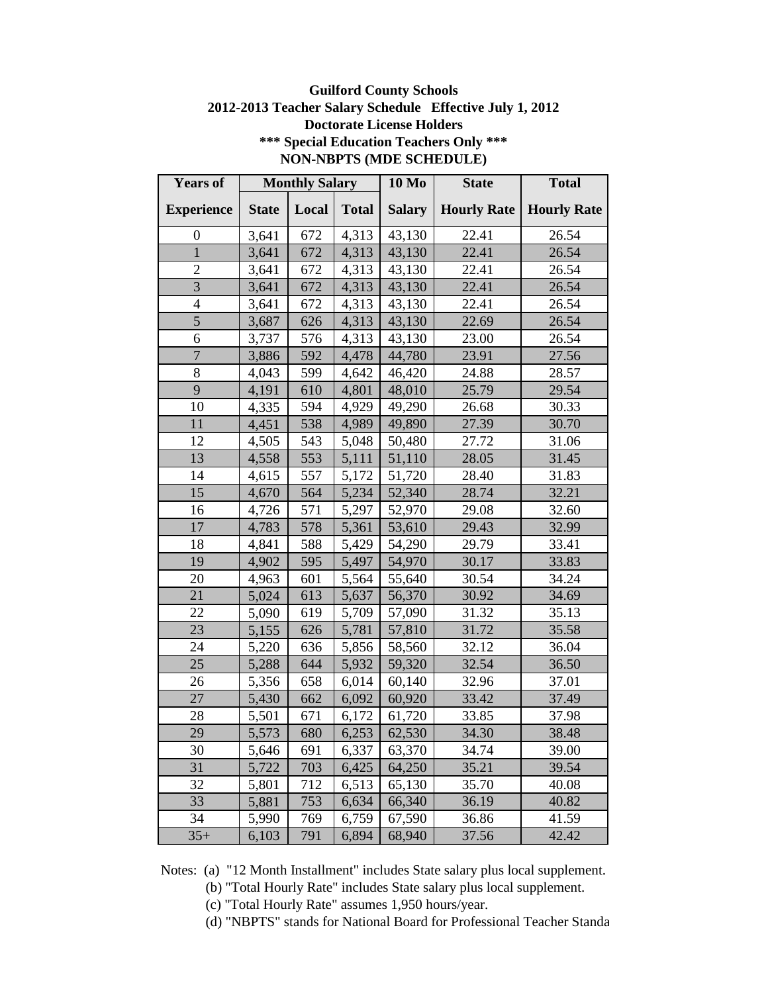### **Guilford County Schools 2012-2013 Teacher Salary Schedule Effective July 1, 2012 Doctorate License Holders \*\*\* Special Education Teachers Only \*\*\* NON-NBPTS (MDE SCHEDULE)**

| <b>Years of</b>   |              | <b>Monthly Salary</b> |              | <b>10 Mo</b>  | <b>State</b>       | <b>Total</b>       |
|-------------------|--------------|-----------------------|--------------|---------------|--------------------|--------------------|
| <b>Experience</b> | <b>State</b> | Local                 | <b>Total</b> | <b>Salary</b> | <b>Hourly Rate</b> | <b>Hourly Rate</b> |
| $\overline{0}$    | 3,641        | 672                   | 4,313        | 43,130        | 22.41              | 26.54              |
| $\mathbf{1}$      | 3,641        | 672                   | 4,313        | 43,130        | 22.41              | 26.54              |
| $\overline{2}$    | 3,641        | 672                   | 4,313        | 43,130        | 22.41              | 26.54              |
| $\overline{3}$    | 3,641        | 672                   | 4,313        | 43,130        | 22.41              | 26.54              |
| 4                 | 3,641        | 672                   | 4,313        | 43,130        | 22.41              | 26.54              |
| 5                 | 3,687        | 626                   | 4,313        | 43,130        | 22.69              | 26.54              |
| 6                 | 3,737        | 576                   | 4,313        | 43,130        | 23.00              | 26.54              |
| $\overline{7}$    | 3,886        | 592                   | 4,478        | 44,780        | 23.91              | 27.56              |
| 8                 | 4,043        | 599                   | 4,642        | 46,420        | 24.88              | 28.57              |
| 9                 | 4,191        | 610                   | 4,801        | 48,010        | 25.79              | 29.54              |
| 10                | 4,335        | 594                   | 4,929        | 49,290        | 26.68              | 30.33              |
| 11                | 4,451        | 538                   | 4,989        | 49,890        | 27.39              | 30.70              |
| 12                | 4,505        | 543                   | 5,048        | 50,480        | 27.72              | 31.06              |
| 13                | 4,558        | 553                   | 5,111        | 51,110        | 28.05              | 31.45              |
| 14                | 4,615        | 557                   | 5,172        | 51,720        | 28.40              | 31.83              |
| 15                | 4,670        | 564                   | 5,234        | 52,340        | 28.74              | 32.21              |
| 16                | 4,726        | 571                   | 5,297        | 52,970        | 29.08              | 32.60              |
| 17                | 4,783        | 578                   | 5,361        | 53,610        | 29.43              | 32.99              |
| 18                | 4,841        | 588                   | 5,429        | 54,290        | 29.79              | 33.41              |
| 19                | 4,902        | 595                   | 5,497        | 54,970        | 30.17              | 33.83              |
| 20                | 4,963        | 601                   | 5,564        | 55,640        | 30.54              | 34.24              |
| 21                | 5,024        | 613                   | 5,637        | 56,370        | 30.92              | 34.69              |
| 22                | 5,090        | 619                   | 5,709        | 57,090        | 31.32              | 35.13              |
| 23                | 5,155        | 626                   | 5,781        | 57,810        | 31.72              | 35.58              |
| 24                | 5,220        | 636                   | 5,856        | 58,560        | 32.12              | 36.04              |
| 25                | 5,288        | 644                   | 5,932        | 59,320        | 32.54              | 36.50              |
| 26                | 5,356        | 658                   | 6,014        | 60,140        | 32.96              | 37.01              |
| 27                | 5,430        | 662                   | 6,092        | 60,920        | 33.42              | 37.49              |
| 28                | 5,501        | 671                   | 6,172        | 61,720        | 33.85              | 37.98              |
| 29                | 5,573        | 680                   | 6,253        | 62,530        | 34.30              | 38.48              |
| 30                | 5,646        | 691                   | 6,337        | 63,370        | 34.74              | 39.00              |
| 31                | 5,722        | 703                   | 6,425        | 64,250        | 35.21              | 39.54              |
| 32                | 5,801        | 712                   | 6,513        | 65,130        | 35.70              | 40.08              |
| 33                | 5,881        | 753                   | 6,634        | 66,340        | 36.19              | 40.82              |
| 34                | 5,990        | 769                   | 6,759        | 67,590        | 36.86              | 41.59              |
| $35+$             | 6,103        | 791                   | 6,894        | 68,940        | 37.56              | 42.42              |

- (b) "Total Hourly Rate" includes State salary plus local supplement.
- (c) "Total Hourly Rate" assumes 1,950 hours/year.
- (d) "NBPTS" stands for National Board for Professional Teacher Standards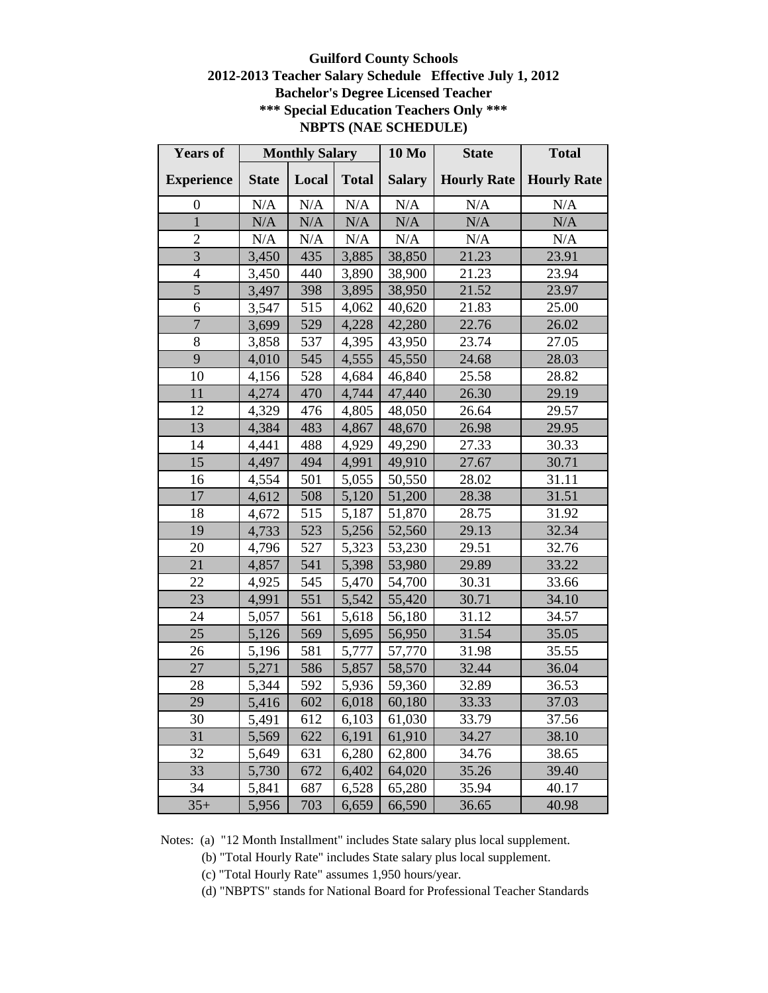# **Guilford County Schools 2012-2013 Teacher Salary Schedule Effective July 1, 2012 Bachelor's Degree Licensed Teacher \*\*\* Special Education Teachers Only \*\*\* NBPTS (NAE SCHEDULE)**

| <b>Years of</b>   | <b>Monthly Salary</b> |       | <b>10 Mo</b> | <b>State</b>  | <b>Total</b>       |                    |
|-------------------|-----------------------|-------|--------------|---------------|--------------------|--------------------|
| <b>Experience</b> | <b>State</b>          | Local | <b>Total</b> | <b>Salary</b> | <b>Hourly Rate</b> | <b>Hourly Rate</b> |
| $\boldsymbol{0}$  | N/A                   | N/A   | N/A          | N/A           | N/A                | N/A                |
| $\mathbf{1}$      | N/A                   | N/A   | N/A          | N/A           | N/A                | N/A                |
| $\overline{2}$    | $\rm N/A$             | N/A   | $\rm N/A$    | N/A           | N/A                | N/A                |
| 3                 | 3,450                 | 435   | 3,885        | 38,850        | 21.23              | 23.91              |
| $\overline{4}$    | 3,450                 | 440   | 3,890        | 38,900        | 21.23              | 23.94              |
| 5                 | 3,497                 | 398   | 3,895        | 38,950        | 21.52              | 23.97              |
| 6                 | 3,547                 | 515   | 4,062        | 40,620        | 21.83              | 25.00              |
| $\overline{7}$    | 3,699                 | 529   | 4,228        | 42,280        | 22.76              | 26.02              |
| 8                 | 3,858                 | 537   | 4,395        | 43,950        | 23.74              | 27.05              |
| 9                 | 4,010                 | 545   | 4,555        | 45,550        | 24.68              | 28.03              |
| 10                | 4,156                 | 528   | 4,684        | 46,840        | 25.58              | 28.82              |
| 11                | 4,274                 | 470   | 4,744        | 47,440        | 26.30              | 29.19              |
| 12                | 4,329                 | 476   | 4,805        | 48,050        | 26.64              | 29.57              |
| 13                | 4,384                 | 483   | 4,867        | 48,670        | 26.98              | 29.95              |
| 14                | 4,441                 | 488   | 4,929        | 49,290        | 27.33              | 30.33              |
| 15                | 4,497                 | 494   | 4,991        | 49,910        | 27.67              | 30.71              |
| 16                | 4,554                 | 501   | 5,055        | 50,550        | 28.02              | 31.11              |
| 17                | 4,612                 | 508   | 5,120        | 51,200        | 28.38              | 31.51              |
| 18                | 4,672                 | 515   | 5,187        | 51,870        | 28.75              | 31.92              |
| 19                | 4,733                 | 523   | 5,256        | 52,560        | 29.13              | 32.34              |
| 20                | 4,796                 | 527   | 5,323        | 53,230        | 29.51              | 32.76              |
| 21                | 4,857                 | 541   | 5,398        | 53,980        | 29.89              | 33.22              |
| 22                | 4,925                 | 545   | 5,470        | 54,700        | 30.31              | 33.66              |
| 23                | 4,991                 | 551   | 5,542        | 55,420        | 30.71              | 34.10              |
| 24                | 5,057                 | 561   | 5,618        | 56,180        | 31.12              | 34.57              |
| 25                | 5,126                 | 569   | 5,695        | 56,950        | 31.54              | 35.05              |
| 26                | 5,196                 | 581   | 5,777        | 57,770        | 31.98              | 35.55              |
| $\overline{27}$   | 5,271                 | 586   | 5,857        | 58,570        | 32.44              | 36.04              |
| 28                | 5,344                 | 592   | 5,936        | 59,360        | 32.89              | 36.53              |
| 29                | 5,416                 | 602   | 6,018        | 60,180        | 33.33              | 37.03              |
| 30                | 5,491                 | 612   | 6,103        | 61,030        | 33.79              | 37.56              |
| 31                | 5,569                 | 622   | 6,191        | 61,910        | 34.27              | 38.10              |
| 32                | 5,649                 | 631   | 6,280        | 62,800        | 34.76              | 38.65              |
| 33                | 5,730                 | 672   | 6,402        | 64,020        | 35.26              | 39.40              |
| 34                | 5,841                 | 687   | 6,528        | 65,280        | 35.94              | 40.17              |
| $35+$             | 5,956                 | 703   | 6,659        | 66,590        | 36.65              | 40.98              |

Notes: (a) "12 Month Installment" includes State salary plus local supplement.

(b) "Total Hourly Rate" includes State salary plus local supplement.

(c) "Total Hourly Rate" assumes 1,950 hours/year.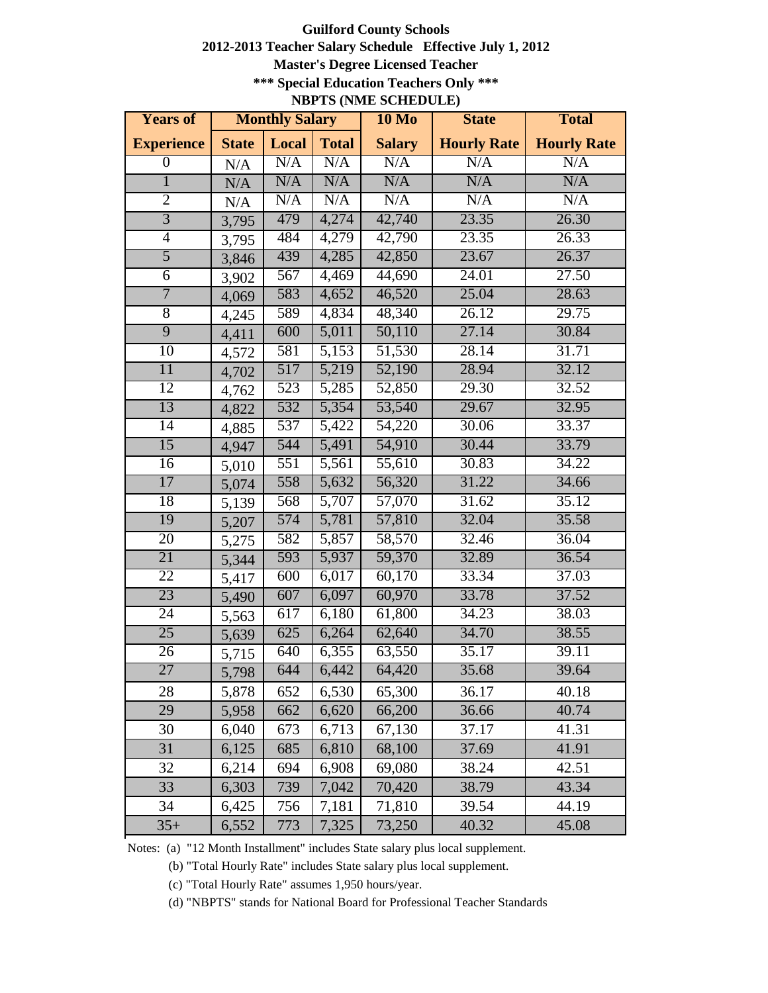#### **Guilford County Schools 2012-2013 Teacher Salary Schedule Effective July 1, 2012 Master's Degree Licensed Teacher \*\*\* Special Education Teachers Only \*\*\* NBPTS (NME SCHEDULE)**

| <b>Years of</b>   | <b>Monthly Salary</b> |       | <b>10 Mo</b>   | <b>State</b>        | <b>Total</b>       |                    |
|-------------------|-----------------------|-------|----------------|---------------------|--------------------|--------------------|
| <b>Experience</b> | <b>State</b>          | Local | <b>Total</b>   | <b>Salary</b>       | <b>Hourly Rate</b> | <b>Hourly Rate</b> |
| $\boldsymbol{0}$  | N/A                   | N/A   | N/A            | N/A                 | N/A                | N/A                |
| $\overline{1}$    | N/A                   | N/A   | N/A            | N/A                 | N/A                | N/A                |
| $\overline{2}$    | N/A                   | N/A   | N/A            | N/A                 | N/A                | N/A                |
| $\overline{3}$    | 3,795                 | 479   | 4,274          | 42,740              | 23.35              | 26.30              |
| $\overline{4}$    | 3,795                 | 484   | 4,279          | 42,790              | 23.35              | 26.33              |
| $\overline{5}$    | 3,846                 | 439   | 4,285          | 42,850              | 23.67              | 26.37              |
| $\overline{6}$    | 3,902                 | 567   | 4,469          | 44,690              | 24.01              | 27.50              |
| 7                 | 4,069                 | 583   | 4,652          | 46,520              | 25.04              | 28.63              |
| $\overline{8}$    | 4,245                 | 589   | 4,834          | 48,340              | 26.12              | 29.75              |
| 9                 | 4,411                 | 600   | 5,011          | 50,110              | 27.14              | 30.84              |
| 10                | 4,572                 | 581   | 5,153          | 51,530              | 28.14              | 31.71              |
| $\overline{11}$   | 4,702                 | 517   | 5,219          | 52,190              | 28.94              | 32.12              |
| 12                | 4,762                 | 523   | 5,285          | 52,850              | 29.30              | 32.52              |
| 13                | 4,822                 | 532   | 5,354          | 53,540              | 29.67              | 32.95              |
| 14                | 4,885                 | 537   | 5,422          | 54,220              | 30.06              | 33.37              |
| $\overline{15}$   | 4,947                 | 544   | $\sqrt{5,491}$ | 54,910              | 30.44              | 33.79              |
| 16                | 5,010                 | 551   | 5,561          | $\overline{55,610}$ | 30.83              | 34.22              |
| 17                | 5,074                 | 558   | 5,632          | 56,320              | 31.22              | 34.66              |
| 18                | 5,139                 | 568   | 5,707          | 57,070              | 31.62              | 35.12              |
| 19                | 5,207                 | 574   | 5,781          | 57,810              | 32.04              | 35.58              |
| 20                | 5,275                 | 582   | 5,857          | 58,570              | 32.46              | 36.04              |
| 21                | 5,344                 | 593   | 5,937          | 59,370              | 32.89              | 36.54              |
| 22                | 5,417                 | 600   | 6,017          | 60,170              | 33.34              | 37.03              |
| 23                | 5,490                 | 607   | 6,097          | 60,970              | 33.78              | 37.52              |
| 24                | 5,563                 | 617   | 6,180          | 61,800              | 34.23              | 38.03              |
| 25                | 5,639                 | 625   | 6,264          | 62,640              | 34.70              | 38.55              |
| 26                | 5,715                 | 640   | 6,355          | 63,550              | 35.17              | 39.11              |
| 27                | 5,798                 | 644   | 6,442          | 64,420              | 35.68              | 39.64              |
| 28                | 5,878                 | 652   | 6,530          | 65,300              | 36.17              | 40.18              |
| 29                | 5,958                 | 662   | 6,620          | 66,200              | 36.66              | 40.74              |
| 30                | 6,040                 | 673   | 6,713          | 67,130              | 37.17              | 41.31              |
| 31                | 6,125                 | 685   | 6,810          | 68,100              | 37.69              | 41.91              |
| 32                | 6,214                 | 694   | 6,908          | 69,080              | 38.24              | 42.51              |
| 33                | 6,303                 | 739   | 7,042          | 70,420              | 38.79              | 43.34              |
| 34                | 6,425                 | 756   | 7,181          | 71,810              | 39.54              | 44.19              |
| $35+$             | 6,552                 | 773   | 7,325          | 73,250              | 40.32              | 45.08              |

Notes: (a) "12 Month Installment" includes State salary plus local supplement.

(b) "Total Hourly Rate" includes State salary plus local supplement.

(c) "Total Hourly Rate" assumes 1,950 hours/year.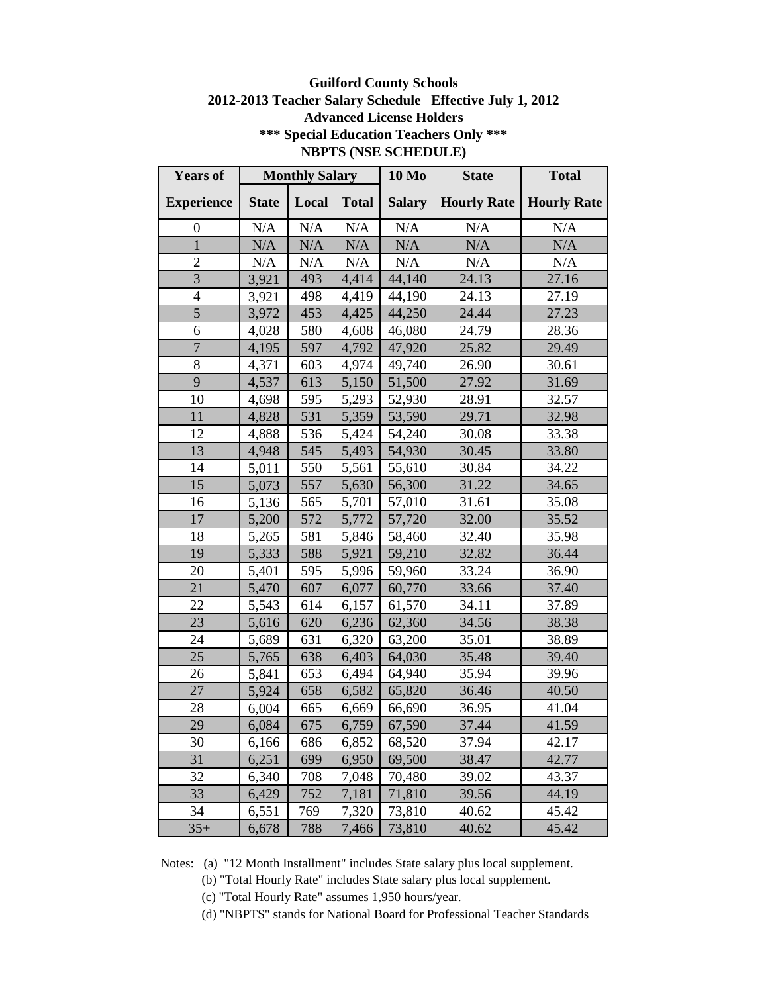### **Guilford County Schools 2012-2013 Teacher Salary Schedule Effective July 1, 2012 Advanced License Holders \*\*\* Special Education Teachers Only \*\*\* NBPTS (NSE SCHEDULE)**

| <b>Years of</b>   | <b>Monthly Salary</b> |       | <b>10 Mo</b> | <b>State</b>  | <b>Total</b>       |                    |
|-------------------|-----------------------|-------|--------------|---------------|--------------------|--------------------|
| <b>Experience</b> | <b>State</b>          | Local | <b>Total</b> | <b>Salary</b> | <b>Hourly Rate</b> | <b>Hourly Rate</b> |
| $\overline{0}$    | N/A                   | N/A   | N/A          | N/A           | N/A                | N/A                |
| $\mathbf{1}$      | N/A                   | N/A   | N/A          | N/A           | N/A                | N/A                |
| $\overline{2}$    | N/A                   | N/A   | N/A          | N/A           | N/A                | N/A                |
| $\overline{3}$    | 3,921                 | 493   | 4,414        | 44,140        | 24.13              | 27.16              |
| $\overline{4}$    | 3,921                 | 498   | 4,419        | 44,190        | 24.13              | 27.19              |
| $\overline{5}$    | 3,972                 | 453   | 4,425        | 44,250        | 24.44              | 27.23              |
| 6                 | 4,028                 | 580   | 4,608        | 46,080        | 24.79              | 28.36              |
| $\overline{7}$    | 4,195                 | 597   | 4,792        | 47,920        | 25.82              | 29.49              |
| 8                 | 4,371                 | 603   | 4,974        | 49,740        | 26.90              | 30.61              |
| 9                 | 4,537                 | 613   | 5,150        | 51,500        | 27.92              | 31.69              |
| 10                | 4,698                 | 595   | 5,293        | 52,930        | 28.91              | 32.57              |
| 11                | 4,828                 | 531   | 5,359        | 53,590        | 29.71              | 32.98              |
| 12                | 4,888                 | 536   | 5,424        | 54,240        | 30.08              | 33.38              |
| 13                | 4,948                 | 545   | 5,493        | 54,930        | 30.45              | 33.80              |
| 14                | 5,011                 | 550   | 5,561        | 55,610        | 30.84              | 34.22              |
| 15                | 5,073                 | 557   | 5,630        | 56,300        | 31.22              | 34.65              |
| 16                | 5,136                 | 565   | 5,701        | 57,010        | 31.61              | 35.08              |
| 17                | 5,200                 | 572   | 5,772        | 57,720        | 32.00              | 35.52              |
| 18                | 5,265                 | 581   | 5,846        | 58,460        | 32.40              | 35.98              |
| 19                | 5,333                 | 588   | 5,921        | 59,210        | 32.82              | 36.44              |
| 20                | 5,401                 | 595   | 5,996        | 59,960        | 33.24              | 36.90              |
| 21                | 5,470                 | 607   | 6,077        | 60,770        | 33.66              | 37.40              |
| 22                | 5,543                 | 614   | 6,157        | 61,570        | 34.11              | 37.89              |
| 23                | 5,616                 | 620   | 6,236        | 62,360        | 34.56              | 38.38              |
| 24                | 5,689                 | 631   | 6,320        | 63,200        | 35.01              | 38.89              |
| 25                | 5,765                 | 638   | 6,403        | 64,030        | 35.48              | 39.40              |
| 26                | 5,841                 | 653   | 6,494        | 64,940        | 35.94              | 39.96              |
| 27                | 5,924                 | 658   | 6,582        | 65,820        | 36.46              | 40.50              |
| 28                | 6,004                 | 665   | 6,669        | 66,690        | 36.95              | 41.04              |
| 29                | 6,084                 | 675   | 6,759        | 67,590        | 37.44              | 41.59              |
| 30                | 6,166                 | 686   | 6,852        | 68,520        | 37.94              | 42.17              |
| 31                | 6,251                 | 699   | 6,950        | 69,500        | 38.47              | 42.77              |
| 32                | 6,340                 | 708   | 7,048        | 70,480        | 39.02              | 43.37              |
| 33                | 6,429                 | 752   | 7,181        | 71,810        | 39.56              | 44.19              |
| 34                | 6,551                 | 769   | 7,320        | 73,810        | 40.62              | 45.42              |
| $35+$             | 6,678                 | 788   | 7,466        | 73,810        | 40.62              | 45.42              |

Notes: (a) "12 Month Installment" includes State salary plus local supplement.

(b) "Total Hourly Rate" includes State salary plus local supplement.

(c) "Total Hourly Rate" assumes 1,950 hours/year.